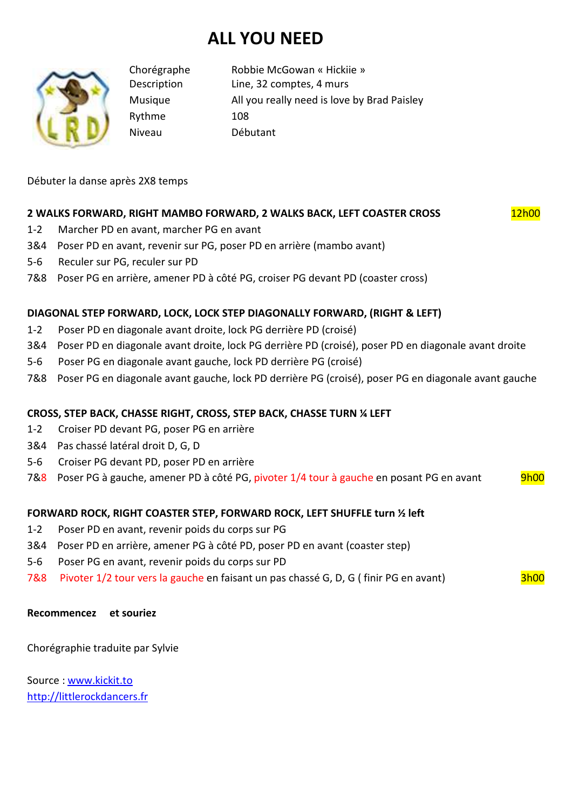# **ALL YOU NEED**



Rythme 108 Niveau Débutant

Chorégraphe Robbie McGowan « Hickiie » Description Line, 32 comptes, 4 murs Musique All you really need is love by Brad Paisley

Débuter la danse après 2X8 temps

## **2 WALKS FORWARD, RIGHT MAMBO FORWARD, 2 WALKS BACK, LEFT COASTER CROSS** 12h00

- 1-2 Marcher PD en avant, marcher PG en avant
- 3&4 Poser PD en avant, revenir sur PG, poser PD en arrière (mambo avant)
- 5-6 Reculer sur PG, reculer sur PD
- 7&8 Poser PG en arrière, amener PD à côté PG, croiser PG devant PD (coaster cross)

### **DIAGONAL STEP FORWARD, LOCK, LOCK STEP DIAGONALLY FORWARD, (RIGHT & LEFT)**

- 1-2 Poser PD en diagonale avant droite, lock PG derrière PD (croisé)
- 3&4 Poser PD en diagonale avant droite, lock PG derrière PD (croisé), poser PD en diagonale avant droite
- 5-6 Poser PG en diagonale avant gauche, lock PD derrière PG (croisé)
- 7&8 Poser PG en diagonale avant gauche, lock PD derrière PG (croisé), poser PG en diagonale avant gauche

### **CROSS, STEP BACK, CHASSE RIGHT, CROSS, STEP BACK, CHASSE TURN ¼ LEFT**

- 1-2 Croiser PD devant PG, poser PG en arrière
- 3&4 Pas chassé latéral droit D, G, D
- 5-6 Croiser PG devant PD, poser PD en arrière
- 7&8 Poser PG à gauche, amener PD à côté PG, pivoter 1/4 tour à gauche en posant PG en avant 9h00

### **FORWARD ROCK, RIGHT COASTER STEP, FORWARD ROCK, LEFT SHUFFLE turn ½ left**

- 1-2 Poser PD en avant, revenir poids du corps sur PG
- 3&4 Poser PD en arrière, amener PG à côté PD, poser PD en avant (coaster step)
- 5-6 Poser PG en avant, revenir poids du corps sur PD
- 7&8 Pivoter 1/2 tour vers la gauche en faisant un pas chassé G, D, G (finir PG en avant) 3h00

#### **Recommencez et souriez**

Chorégraphie traduite par Sylvie

Source : www.kickit.to http://littlerockdancers.fr